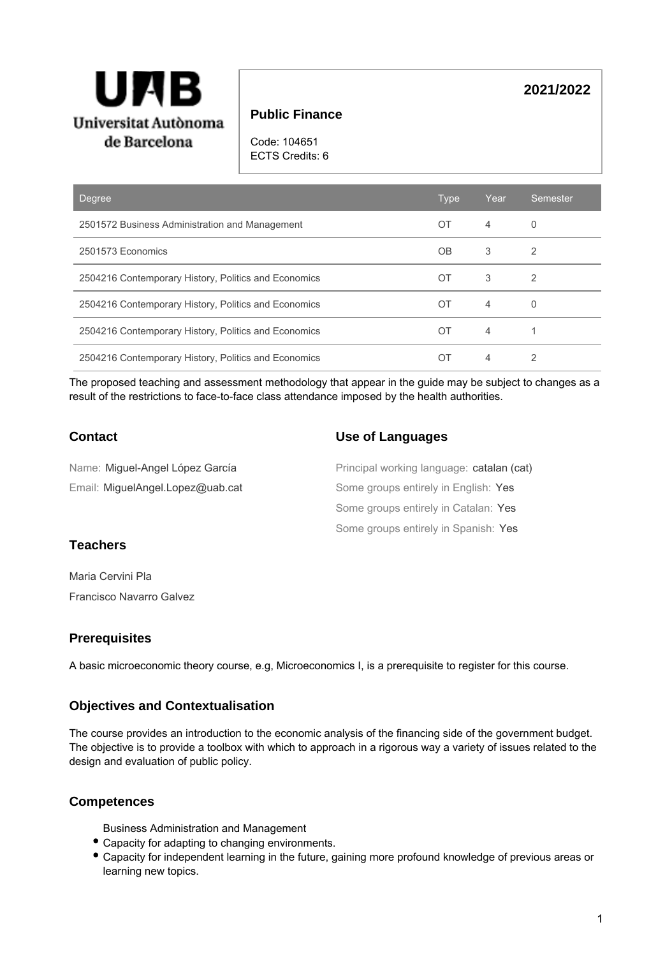

# **Public Finance**

Code: 104651 ECTS Credits: 6

| <b>Degree</b>                                        | <b>Type</b> | Year           | Semester |
|------------------------------------------------------|-------------|----------------|----------|
| 2501572 Business Administration and Management       | OT          | $\overline{4}$ | 0        |
| 2501573 Economics                                    | OB          | 3              | 2        |
| 2504216 Contemporary History, Politics and Economics | ОT          | 3              | 2        |
| 2504216 Contemporary History, Politics and Economics | OT          | $\overline{4}$ | 0        |
| 2504216 Contemporary History, Politics and Economics | ОT          | $\overline{4}$ |          |
| 2504216 Contemporary History, Politics and Economics | OΤ          | 4              | 2        |

The proposed teaching and assessment methodology that appear in the guide may be subject to changes as a result of the restrictions to face-to-face class attendance imposed by the health authorities.

# **Contact**

## **Use of Languages**

| Name: Miguel-Angel López García  | Principal working language: catalan (cat) |
|----------------------------------|-------------------------------------------|
| Email: MiquelAngel.Lopez@uab.cat | Some groups entirely in English: Yes      |
|                                  | Some groups entirely in Catalan: Yes      |
|                                  | Some groups entirely in Spanish: Yes      |

# **Teachers**

Maria Cervini Pla Francisco Navarro Galvez

## **Prerequisites**

A basic microeconomic theory course, e.g, Microeconomics I, is a prerequisite to register for this course.

# **Objectives and Contextualisation**

The course provides an introduction to the economic analysis of the financing side of the government budget. The objective is to provide a toolbox with which to approach in a rigorous way a variety of issues related to the design and evaluation of public policy.

## **Competences**

Business Administration and Management

- Capacity for adapting to changing environments.
- Capacity for independent learning in the future, gaining more profound knowledge of previous areas or learning new topics.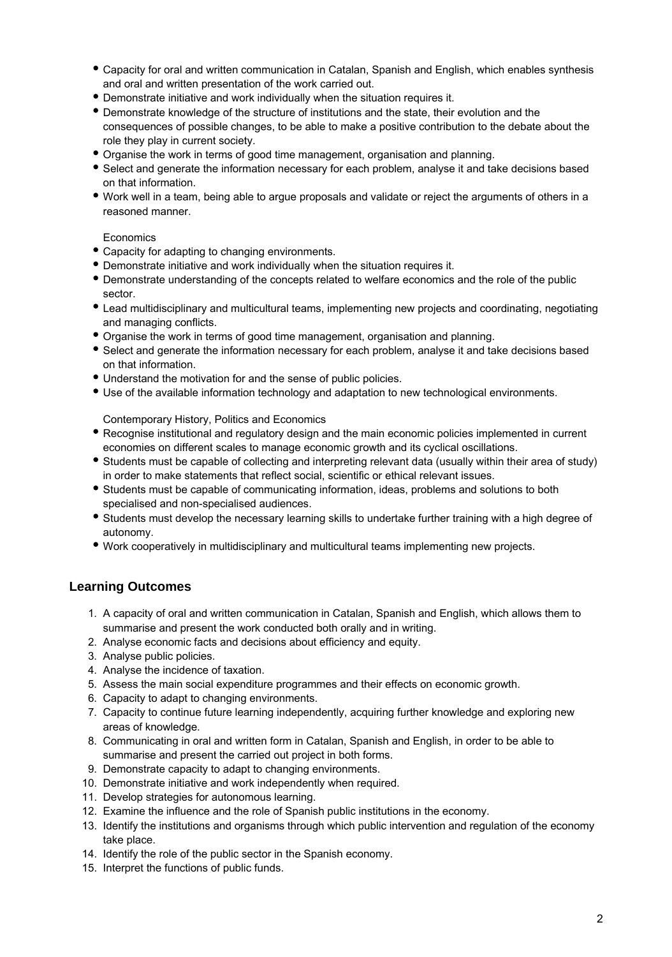- Capacity for oral and written communication in Catalan, Spanish and English, which enables synthesis and oral and written presentation of the work carried out.
- Demonstrate initiative and work individually when the situation requires it.
- Demonstrate knowledge of the structure of institutions and the state, their evolution and the consequences of possible changes, to be able to make a positive contribution to the debate about the role they play in current society.
- Organise the work in terms of good time management, organisation and planning.
- Select and generate the information necessary for each problem, analyse it and take decisions based on that information.
- Work well in a team, being able to argue proposals and validate or reject the arguments of others in a reasoned manner.

### **Economics**

- Capacity for adapting to changing environments.
- Demonstrate initiative and work individually when the situation requires it.
- Demonstrate understanding of the concepts related to welfare economics and the role of the public sector.
- Lead multidisciplinary and multicultural teams, implementing new projects and coordinating, negotiating and managing conflicts.
- Organise the work in terms of good time management, organisation and planning.
- Select and generate the information necessary for each problem, analyse it and take decisions based on that information.
- Understand the motivation for and the sense of public policies.
- Use of the available information technology and adaptation to new technological environments.

Contemporary History, Politics and Economics

- Recognise institutional and regulatory design and the main economic policies implemented in current economies on different scales to manage economic growth and its cyclical oscillations.
- Students must be capable of collecting and interpreting relevant data (usually within their area of study) in order to make statements that reflect social, scientific or ethical relevant issues.
- Students must be capable of communicating information, ideas, problems and solutions to both specialised and non-specialised audiences.
- Students must develop the necessary learning skills to undertake further training with a high degree of autonomy.
- Work cooperatively in multidisciplinary and multicultural teams implementing new projects.

# **Learning Outcomes**

- 1. A capacity of oral and written communication in Catalan, Spanish and English, which allows them to summarise and present the work conducted both orally and in writing.
- 2. Analyse economic facts and decisions about efficiency and equity.
- 3. Analyse public policies.
- 4. Analyse the incidence of taxation.
- 5. Assess the main social expenditure programmes and their effects on economic growth.
- 6. Capacity to adapt to changing environments.
- 7. Capacity to continue future learning independently, acquiring further knowledge and exploring new areas of knowledge.
- 8. Communicating in oral and written form in Catalan, Spanish and English, in order to be able to summarise and present the carried out project in both forms.
- 9. Demonstrate capacity to adapt to changing environments.
- 10. Demonstrate initiative and work independently when required.
- 11. Develop strategies for autonomous learning.
- 12. Examine the influence and the role of Spanish public institutions in the economy.
- 13. Identify the institutions and organisms through which public intervention and regulation of the economy take place.
- 14. Identify the role of the public sector in the Spanish economy.
- 15. Interpret the functions of public funds.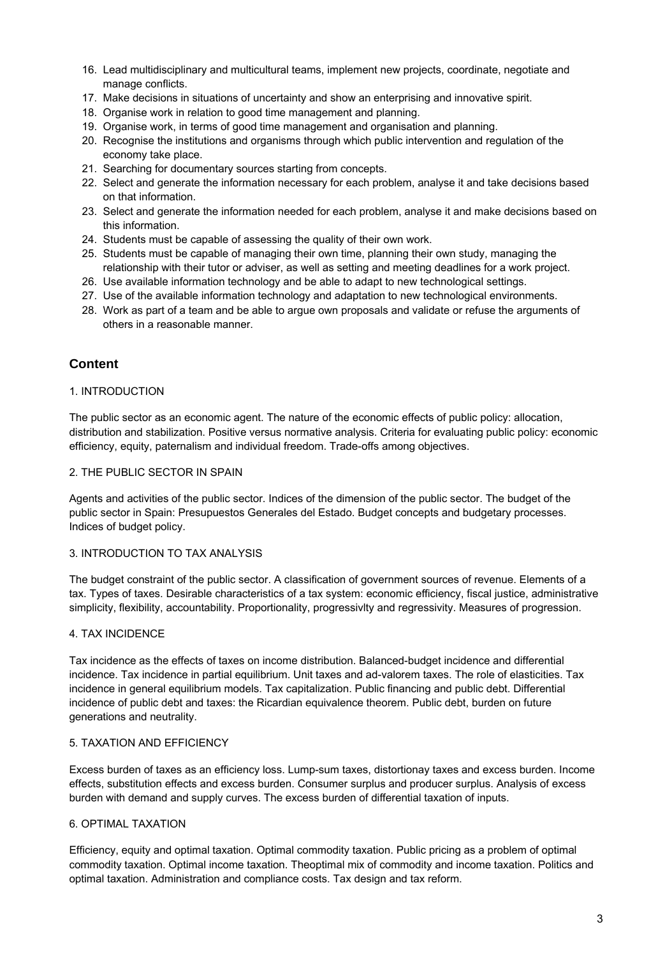- 16. Lead multidisciplinary and multicultural teams, implement new projects, coordinate, negotiate and manage conflicts.
- 17. Make decisions in situations of uncertainty and show an enterprising and innovative spirit.
- 18. Organise work in relation to good time management and planning.
- 19. Organise work, in terms of good time management and organisation and planning.
- 20. Recognise the institutions and organisms through which public intervention and regulation of the economy take place.
- 21. Searching for documentary sources starting from concepts.
- 22. Select and generate the information necessary for each problem, analyse it and take decisions based on that information.
- 23. Select and generate the information needed for each problem, analyse it and make decisions based on this information.
- 24. Students must be capable of assessing the quality of their own work.
- 25. Students must be capable of managing their own time, planning their own study, managing the relationship with their tutor or adviser, as well as setting and meeting deadlines for a work project.
- 26. Use available information technology and be able to adapt to new technological settings.
- 27. Use of the available information technology and adaptation to new technological environments.
- 28. Work as part of a team and be able to argue own proposals and validate or refuse the arguments of others in a reasonable manner.

## **Content**

### 1. INTRODUCTION

The public sector as an economic agent. The nature of the economic effects of public policy: allocation, distribution and stabilization. Positive versus normative analysis. Criteria for evaluating public policy: economic efficiency, equity, paternalism and individual freedom. Trade-offs among objectives.

#### 2. THE PUBLIC SECTOR IN SPAIN

Agents and activities of the public sector. Indices of the dimension of the public sector. The budget of the public sector in Spain: Presupuestos Generales del Estado. Budget concepts and budgetary processes. Indices of budget policy.

### 3. INTRODUCTION TO TAX ANALYSIS

The budget constraint of the public sector. A classification of government sources of revenue. Elements of a tax. Types of taxes. Desirable characteristics of a tax system: economic efficiency, fiscal justice, administrative simplicity, flexibility, accountability. Proportionality, progressivlty and regressivity. Measures of progression.

## 4. TAX INCIDENCE

Tax incidence as the effects of taxes on income distribution. Balanced-budget incidence and differential incidence. Tax incidence in partial equilibrium. Unit taxes and ad-valorem taxes. The role of elasticities. Tax incidence in general equilibrium models. Tax capitalization. Public financing and public debt. Differential incidence of public debt and taxes: the Ricardian equivalence theorem. Public debt, burden on future generations and neutrality.

## 5. TAXATION AND EFFICIENCY

Excess burden of taxes as an efficiency loss. Lump-sum taxes, distortionay taxes and excess burden. Income effects, substitution effects and excess burden. Consumer surplus and producer surplus. Analysis of excess burden with demand and supply curves. The excess burden of differential taxation of inputs.

## 6. OPTIMAL TAXATION

Efficiency, equity and optimal taxation. Optimal commodity taxation. Public pricing as a problem of optimal commodity taxation. Optimal income taxation. Theoptimal mix of commodity and income taxation. Politics and optimal taxation. Administration and compliance costs. Tax design and tax reform.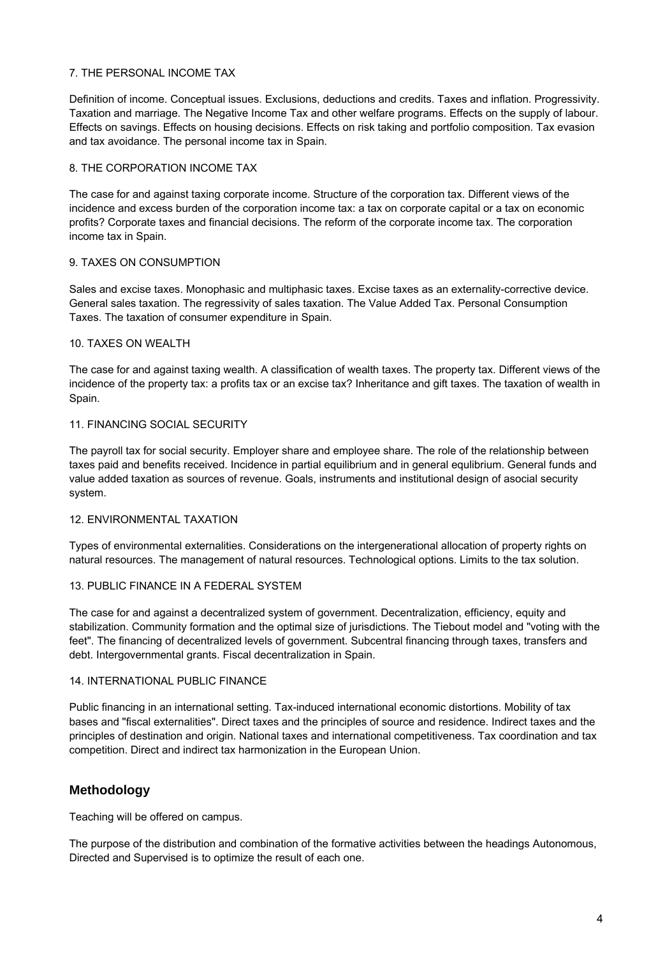### 7. THE PERSONAL INCOME TAX

Definition of income. Conceptual issues. Exclusions, deductions and credits. Taxes and inflation. Progressivity. Taxation and marriage. The Negative Income Tax and other welfare programs. Effects on the supply of labour. Effects on savings. Effects on housing decisions. Effects on risk taking and portfolio composition. Tax evasion and tax avoidance. The personal income tax in Spain.

### 8. THE CORPORATION INCOME TAX

The case for and against taxing corporate income. Structure of the corporation tax. Different views of the incidence and excess burden of the corporation income tax: a tax on corporate capital or a tax on economic profits? Corporate taxes and financial decisions. The reform of the corporate income tax. The corporation income tax in Spain.

### 9. TAXES ON CONSUMPTION

Sales and excise taxes. Monophasic and multiphasic taxes. Excise taxes as an externality-corrective device. General sales taxation. The regressivity of sales taxation. The Value Added Tax. Personal Consumption Taxes. The taxation of consumer expenditure in Spain.

#### 10. TAXES ON WEALTH

The case for and against taxing wealth. A classification of wealth taxes. The property tax. Different views of the incidence of the property tax: a profits tax or an excise tax? Inheritance and gift taxes. The taxation of wealth in Spain.

#### 11. FINANCING SOCIAL SECURITY

The payroll tax for social security. Employer share and employee share. The role of the relationship between taxes paid and benefits received. Incidence in partial equilibrium and in general equlibrium. General funds and value added taxation as sources of revenue. Goals, instruments and institutional design of asocial security system.

#### 12. ENVIRONMENTAL TAXATION

Types of environmental externalities. Considerations on the intergenerational allocation of property rights on natural resources. The management of natural resources. Technological options. Limits to the tax solution.

#### 13. PUBLIC FINANCE IN A FEDERAL SYSTEM

The case for and against a decentralized system of government. Decentralization, efficiency, equity and stabilization. Community formation and the optimal size of jurisdictions. The Tiebout model and "voting with the feet". The financing of decentralized levels of government. Subcentral financing through taxes, transfers and debt. Intergovernmental grants. Fiscal decentralization in Spain.

#### 14. INTERNATIONAL PUBLIC FINANCE

Public financing in an international setting. Tax-induced international economic distortions. Mobility of tax bases and "fiscal externalities". Direct taxes and the principles of source and residence. Indirect taxes and the principles of destination and origin. National taxes and international competitiveness. Tax coordination and tax competition. Direct and indirect tax harmonization in the European Union.

## **Methodology**

Teaching will be offered on campus.

The purpose of the distribution and combination of the formative activities between the headings Autonomous, Directed and Supervised is to optimize the result of each one.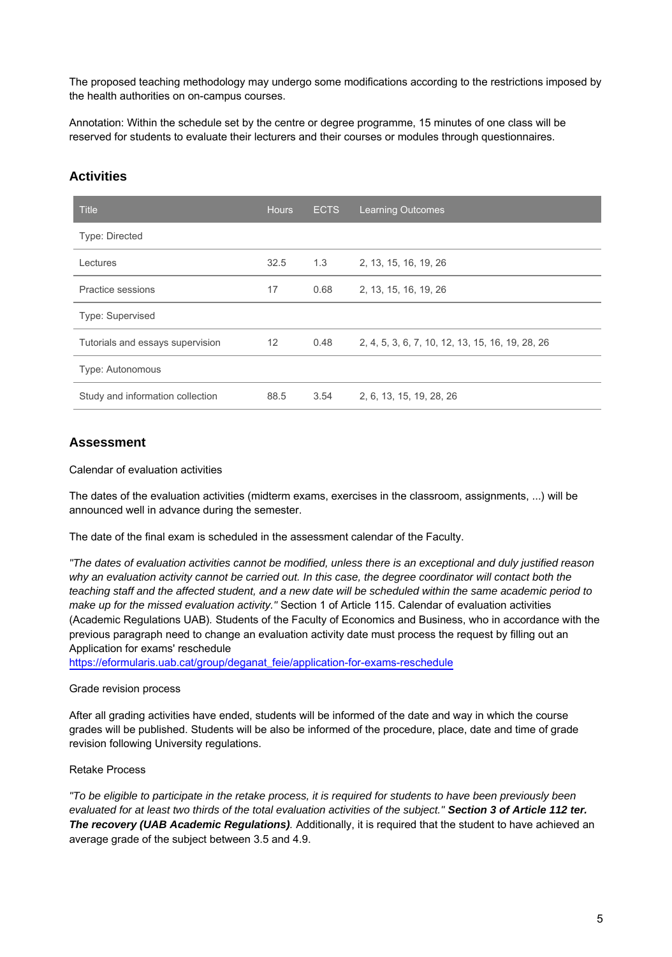The proposed teaching methodology may undergo some modifications according to the restrictions imposed by the health authorities on on-campus courses.

Annotation: Within the schedule set by the centre or degree programme, 15 minutes of one class will be reserved for students to evaluate their lecturers and their courses or modules through questionnaires.

| <b>Title</b>                     | <b>Hours</b>      | <b>ECTS</b> | <b>Learning Outcomes</b>                         |
|----------------------------------|-------------------|-------------|--------------------------------------------------|
| Type: Directed                   |                   |             |                                                  |
| Lectures                         | 32.5              | 1.3         | 2, 13, 15, 16, 19, 26                            |
| Practice sessions                | 17                | 0.68        | 2, 13, 15, 16, 19, 26                            |
| Type: Supervised                 |                   |             |                                                  |
| Tutorials and essays supervision | $12 \overline{ }$ | 0.48        | 2, 4, 5, 3, 6, 7, 10, 12, 13, 15, 16, 19, 28, 26 |
| Type: Autonomous                 |                   |             |                                                  |
| Study and information collection | 88.5              | 3.54        | 2, 6, 13, 15, 19, 28, 26                         |

# **Activities**

# **Assessment**

#### Calendar of evaluation activities

The dates of the evaluation activities (midterm exams, exercises in the classroom, assignments, ...) will be announced well in advance during the semester.

The date of the final exam is scheduled in the assessment calendar of the Faculty.

"The dates of evaluation activities cannot be modified, unless there is an exceptional and duly justified reason why an evaluation activity cannot be carried out. In this case, the degree coordinator will contact both the teaching staff and the affected student, and a new date will be scheduled within the same academic period to make up for the missed evaluation activity." Section 1 of Article 115. Calendar of evaluation activities (Academic Regulations UAB). Students of the Faculty of Economics and Business, who in accordance with the previous paragraph need to change an evaluation activity date must process the request by filling out an Application for exams' reschedule

[https://eformularis.uab.cat/group/deganat\\_feie/application-for-exams-reschedule](https://eformularis.uab.cat/group/deganat_feie/application-for-exams-reschedule)

#### Grade revision process

After all grading activities have ended, students will be informed of the date and way in which the course grades will be published. Students will be also be informed of the procedure, place, date and time of grade revision following University regulations.

#### Retake Process

"To be eligible to participate in the retake process, it is required for students to have been previously been evaluated for at least two thirds of the total evaluation activities of the subject." **Section 3 of Article 112 ter. The recovery (UAB Academic Regulations)**. Additionally, it is required that the student to have achieved an average grade of the subject between 3.5 and 4.9.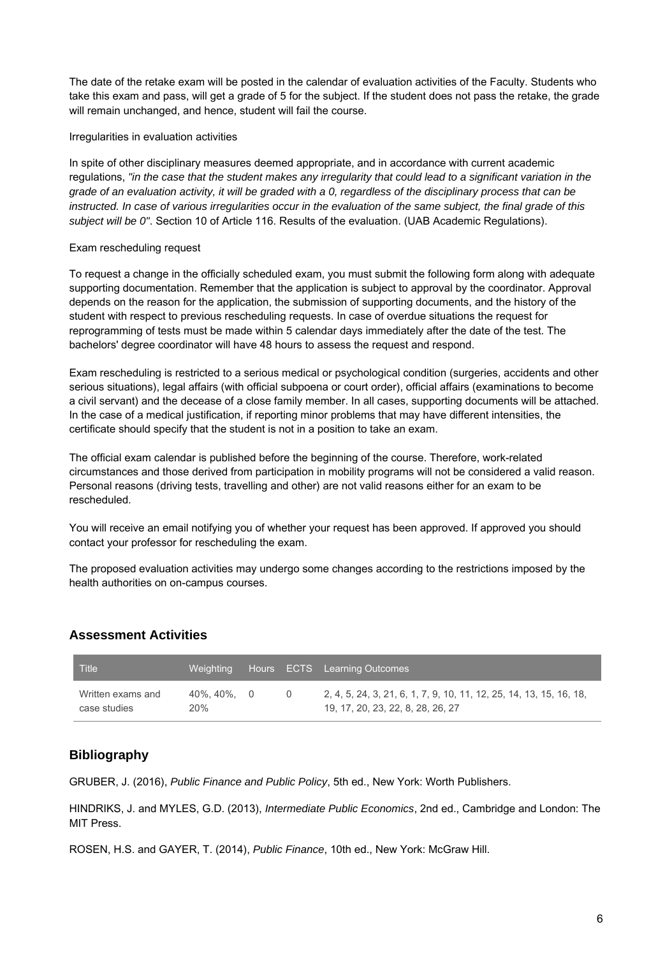The date of the retake exam will be posted in the calendar of evaluation activities of the Faculty. Students who take this exam and pass, will get a grade of 5 for the subject. If the student does not pass the retake, the grade will remain unchanged, and hence, student will fail the course.

### Irregularities in evaluation activities

In spite of other disciplinary measures deemed appropriate, and in accordance with current academic regulations, "in the case that the student makes any irregularity that could lead to a significant variation in the grade of an evaluation activity, it will be graded with a 0, regardless of the disciplinary process that can be instructed. In case of various irregularities occur in the evaluation of the same subject, the final grade of this subject will be 0". Section 10 of Article 116. Results of the evaluation. (UAB Academic Regulations).

### Exam rescheduling request

To request a change in the officially scheduled exam, you must submit the following form along with adequate supporting documentation. Remember that the application is subject to approval by the coordinator. Approval depends on the reason for the application, the submission of supporting documents, and the history of the student with respect to previous rescheduling requests. In case of overdue situations the request for reprogramming of tests must be made within 5 calendar days immediately after the date of the test. The bachelors' degree coordinator will have 48 hours to assess the request and respond.

Exam rescheduling is restricted to a serious medical or psychological condition (surgeries, accidents and other serious situations), legal affairs (with official subpoena or court order), official affairs (examinations to become a civil servant) and the decease of a close family member. In all cases, supporting documents will be attached. In the case of a medical justification, if reporting minor problems that may have different intensities, the certificate should specify that the student is not in a position to take an exam.

The official exam calendar is published before the beginning of the course. Therefore, work-related circumstances and those derived from participation in mobility programs will not be considered a valid reason. Personal reasons (driving tests, travelling and other) are not valid reasons either for an exam to be rescheduled.

You will receive an email notifying you of whether your request has been approved. If approved you should contact your professor for rescheduling the exam.

The proposed evaluation activities may undergo some changes according to the restrictions imposed by the health authorities on on-campus courses.

## **Assessment Activities**

| <b>Title</b>                      | Weighting         |  | Hours ECTS Learning Outcomes                                                                             |
|-----------------------------------|-------------------|--|----------------------------------------------------------------------------------------------------------|
| Written exams and<br>case studies | 40%.40%. 0<br>20% |  | 2, 4, 5, 24, 3, 21, 6, 1, 7, 9, 10, 11, 12, 25, 14, 13, 15, 16, 18,<br>19, 17, 20, 23, 22, 8, 28, 26, 27 |

## **Bibliography**

GRUBER, J. (2016), Public Finance and Public Policy, 5th ed., New York: Worth Publishers.

HINDRIKS, J. and MYLES, G.D. (2013), Intermediate Public Economics, 2nd ed., Cambridge and London: The MIT Press.

ROSEN, H.S. and GAYER, T. (2014), Public Finance, 10th ed., New York: McGraw Hill.